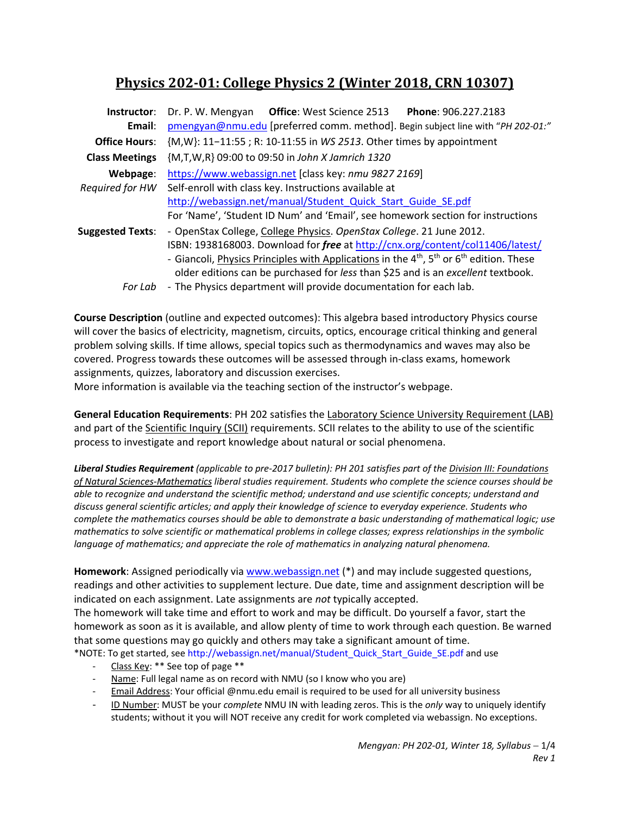# **Physics 202‐01: College Physics 2 (Winter 2018, CRN 10307)**

| Instructor:<br>Email:       | Dr. P. W. Mengyan Office: West Science 2513<br>Phone: 906.227.2183<br>pmengyan@nmu.edu [preferred comm. method]. Begin subject line with "PH 202-01:"                                                                                                                                                                                                              |  |  |  |  |
|-----------------------------|--------------------------------------------------------------------------------------------------------------------------------------------------------------------------------------------------------------------------------------------------------------------------------------------------------------------------------------------------------------------|--|--|--|--|
| <b>Office Hours:</b>        | {M,W}: 11-11:55; R: 10-11:55 in WS 2513. Other times by appointment                                                                                                                                                                                                                                                                                                |  |  |  |  |
| <b>Class Meetings</b>       | {M,T,W,R} 09:00 to 09:50 in John X Jamrich 1320                                                                                                                                                                                                                                                                                                                    |  |  |  |  |
| Webpage:<br>Required for HW | https://www.webassign.net [class key: nmu 9827 2169]<br>Self-enroll with class key. Instructions available at<br>http://webassign.net/manual/Student Quick Start Guide SE.pdf<br>For 'Name', 'Student ID Num' and 'Email', see homework section for instructions                                                                                                   |  |  |  |  |
| <b>Suggested Texts:</b>     | - OpenStax College, College Physics. OpenStax College. 21 June 2012.<br>ISBN: 1938168003. Download for free at http://cnx.org/content/col11406/latest/<br>- Giancoli, Physics Principles with Applications in the $4^{th}$ , 5 <sup>th</sup> or 6 <sup>th</sup> edition. These<br>older editions can be purchased for less than \$25 and is an excellent textbook. |  |  |  |  |
| For Lab                     | - The Physics department will provide documentation for each lab.                                                                                                                                                                                                                                                                                                  |  |  |  |  |

**Course Description** (outline and expected outcomes): This algebra based introductory Physics course will cover the basics of electricity, magnetism, circuits, optics, encourage critical thinking and general problem solving skills. If time allows, special topics such as thermodynamics and waves may also be covered. Progress towards these outcomes will be assessed through in‐class exams, homework assignments, quizzes, laboratory and discussion exercises.

More information is available via the teaching section of the instructor's webpage.

**General Education Requirements**: PH 202 satisfies the Laboratory Science University Requirement (LAB) and part of the Scientific Inquiry (SCII) requirements. SCII relates to the ability to use of the scientific process to investigate and report knowledge about natural or social phenomena.

*Liberal Studies Requirement (applicable to pre‐2017 bulletin): PH 201 satisfies part of the Division III: Foundations of Natural Sciences‐Mathematics liberal studies requirement. Students who complete the science courses should be able to recognize and understand the scientific method; understand and use scientific concepts; understand and discuss general scientific articles; and apply their knowledge of science to everyday experience. Students who complete the mathematics courses should be able to demonstrate a basic understanding of mathematical logic; use mathematics to solve scientific or mathematical problems in college classes; express relationships in the symbolic language of mathematics; and appreciate the role of mathematics in analyzing natural phenomena.* 

**Homework**: Assigned periodically via www.webassign.net (\*) and may include suggested questions, readings and other activities to supplement lecture. Due date, time and assignment description will be indicated on each assignment. Late assignments are *not* typically accepted.

The homework will take time and effort to work and may be difficult. Do yourself a favor, start the homework as soon as it is available, and allow plenty of time to work through each question. Be warned that some questions may go quickly and others may take a significant amount of time. \*NOTE: To get started, see http://webassign.net/manual/Student\_Quick\_Start\_Guide\_SE.pdf and use

- ‐ Class Key: \*\* See top of page \*\*
- Name: Full legal name as on record with NMU (so I know who you are)
- Email Address: Your official @nmu.edu email is required to be used for all university business
- ‐ ID Number: MUST be your *complete* NMU IN with leading zeros. This is the *only* way to uniquely identify students; without it you will NOT receive any credit for work completed via webassign. No exceptions.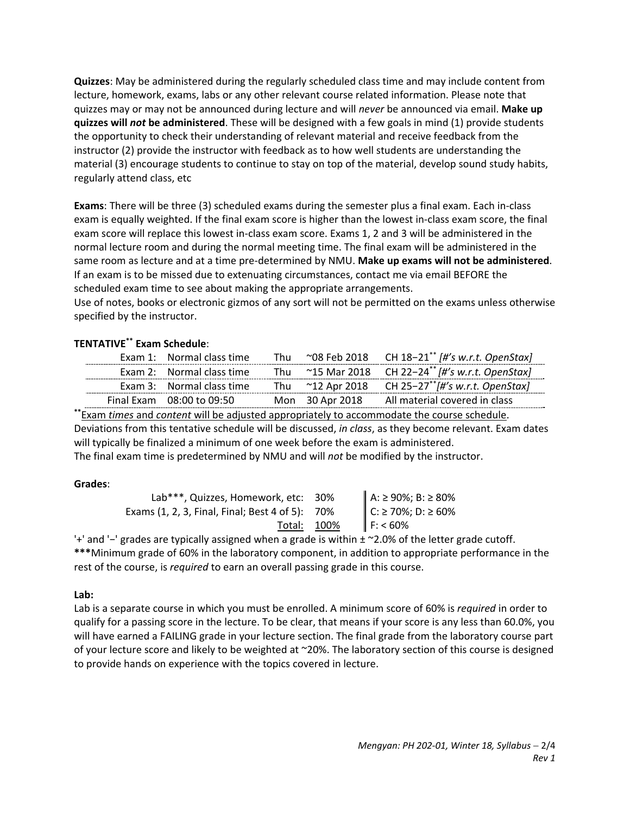**Quizzes**: May be administered during the regularly scheduled class time and may include content from lecture, homework, exams, labs or any other relevant course related information. Please note that quizzes may or may not be announced during lecture and will *never* be announced via email. **Make up quizzes will** *not* **be administered**. These will be designed with a few goals in mind (1) provide students the opportunity to check their understanding of relevant material and receive feedback from the instructor (2) provide the instructor with feedback as to how well students are understanding the material (3) encourage students to continue to stay on top of the material, develop sound study habits, regularly attend class, etc

**Exams**: There will be three (3) scheduled exams during the semester plus a final exam. Each in‐class exam is equally weighted. If the final exam score is higher than the lowest in‐class exam score, the final exam score will replace this lowest in‐class exam score. Exams 1, 2 and 3 will be administered in the normal lecture room and during the normal meeting time. The final exam will be administered in the same room as lecture and at a time pre‐determined by NMU. **Make up exams will not be administered**. If an exam is to be missed due to extenuating circumstances, contact me via email BEFORE the scheduled exam time to see about making the appropriate arrangements.

Use of notes, books or electronic gizmos of any sort will not be permitted on the exams unless otherwise specified by the instructor.

## **TENTATIVE\*\* Exam Schedule**:

| Exam 1: Normal class time |                 | Thu $\sim$ 08 Feb 2018 CH 18-21 <sup>**</sup> [#'s w.r.t. OpenStax] |
|---------------------------|-----------------|---------------------------------------------------------------------|
| Exam 2: Normal class time |                 | Thu ~15 Mar 2018 CH 22-24 <sup>**</sup> [#'s w.r.t. OpenStax]       |
| Exam 3: Normal class time |                 | Thu ~12 Apr 2018 CH 25-27 <sup>**</sup> [#'s w.r.t. OpenStax]       |
| Final Exam 08:00 to 09:50 | Mon 30 Apr 2018 | All material covered in class                                       |

**\*\***Exam *times* and *content* will be adjusted appropriately to accommodate the course schedule. Deviations from this tentative schedule will be discussed, *in class*, as they become relevant. Exam dates will typically be finalized a minimum of one week before the exam is administered.

The final exam time is predetermined by NMU and will *not* be modified by the instructor.

### **Grades**:

| Lab***, Quizzes, Homework, etc: 30%             | A: ≥ 90%; B: ≥ 80%<br>C: ≥ 70%; D: ≥ 60%<br>F: < 60% |
|-------------------------------------------------|------------------------------------------------------|
| Exams (1, 2, 3, Final, Final; Best 4 of 5): 70% |                                                      |
| Total: 100%                                     |                                                      |

'+' and '−' grades are typically assigned when a grade is within ± ~2.0% of the letter grade cutoff. **\*\*\***Minimum grade of 60% in the laboratory component, in addition to appropriate performance in the rest of the course, is *required* to earn an overall passing grade in this course.

# **Lab:**

Lab is a separate course in which you must be enrolled. A minimum score of 60% is *required* in order to qualify for a passing score in the lecture. To be clear, that means if your score is any less than 60.0%, you will have earned a FAILING grade in your lecture section. The final grade from the laboratory course part of your lecture score and likely to be weighted at ~20%. The laboratory section of this course is designed to provide hands on experience with the topics covered in lecture.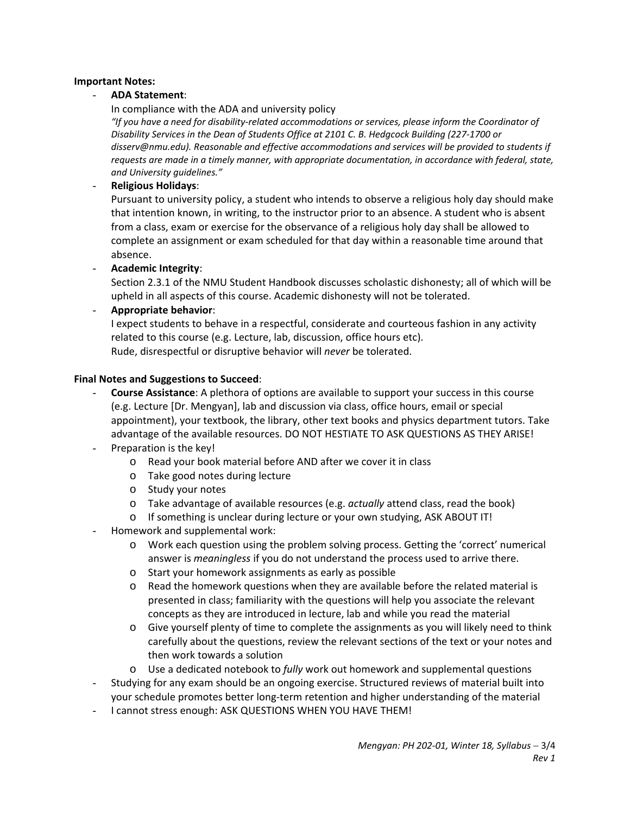#### **Important Notes:**

#### - **ADA Statement**:

In compliance with the ADA and university policy

*"If you have a need for disability‐related accommodations or services, please inform the Coordinator of Disability Services in the Dean of Students Office at 2101 C. B. Hedgcock Building (227‐1700 or disserv@nmu.edu). Reasonable and effective accommodations and services will be provided to students if requests are made in a timely manner, with appropriate documentation, in accordance with federal, state, and University guidelines."*

#### - **Religious Holidays**:

Pursuant to university policy, a student who intends to observe a religious holy day should make that intention known, in writing, to the instructor prior to an absence. A student who is absent from a class, exam or exercise for the observance of a religious holy day shall be allowed to complete an assignment or exam scheduled for that day within a reasonable time around that absence.

- **Academic Integrity**:

Section 2.3.1 of the NMU Student Handbook discusses scholastic dishonesty; all of which will be upheld in all aspects of this course. Academic dishonesty will not be tolerated.

#### - **Appropriate behavior**:

I expect students to behave in a respectful, considerate and courteous fashion in any activity related to this course (e.g. Lecture, lab, discussion, office hours etc). Rude, disrespectful or disruptive behavior will *never* be tolerated.

#### **Final Notes and Suggestions to Succeed**:

- **Course Assistance**: A plethora of options are available to support your success in this course (e.g. Lecture [Dr. Mengyan], lab and discussion via class, office hours, email or special appointment), your textbook, the library, other text books and physics department tutors. Take advantage of the available resources. DO NOT HESTIATE TO ASK QUESTIONS AS THEY ARISE!
- Preparation is the key!
	- o Read your book material before AND after we cover it in class
	- o Take good notes during lecture
	- o Study your notes
	- o Take advantage of available resources (e.g. *actually* attend class, read the book)
	- o If something is unclear during lecture or your own studying, ASK ABOUT IT!
- Homework and supplemental work:
	- o Work each question using the problem solving process. Getting the 'correct' numerical answer is *meaningless* if you do not understand the process used to arrive there.
	- o Start your homework assignments as early as possible
	- $\circ$  Read the homework questions when they are available before the related material is presented in class; familiarity with the questions will help you associate the relevant concepts as they are introduced in lecture, lab and while you read the material
	- o Give yourself plenty of time to complete the assignments as you will likely need to think carefully about the questions, review the relevant sections of the text or your notes and then work towards a solution
	- o Use a dedicated notebook to *fully* work out homework and supplemental questions
- Studying for any exam should be an ongoing exercise. Structured reviews of material built into your schedule promotes better long‐term retention and higher understanding of the material
- I cannot stress enough: ASK QUESTIONS WHEN YOU HAVE THEM!